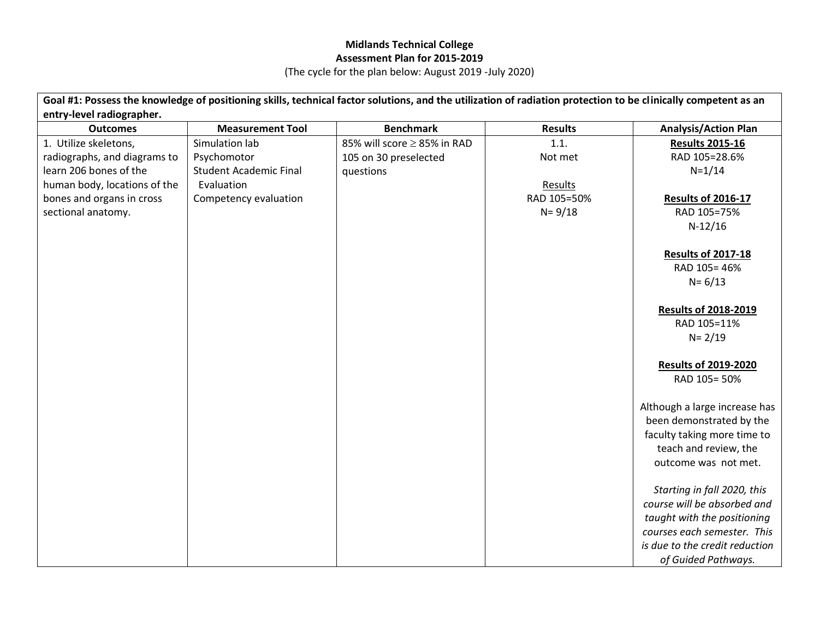## **Midlands Technical College Assessment Plan for 2015-2019**

(The cycle for the plan below: August 2019 -July 2020)

| Goal #1: Possess the knowledge of positioning skills, technical factor solutions, and the utilization of radiation protection to be clinically competent as an |                               |                             |                |                                                            |
|----------------------------------------------------------------------------------------------------------------------------------------------------------------|-------------------------------|-----------------------------|----------------|------------------------------------------------------------|
| entry-level radiographer.                                                                                                                                      |                               |                             |                |                                                            |
| <b>Outcomes</b>                                                                                                                                                | <b>Measurement Tool</b>       | <b>Benchmark</b>            | <b>Results</b> | <b>Analysis/Action Plan</b>                                |
| 1. Utilize skeletons,                                                                                                                                          | Simulation lab                | 85% will score ≥ 85% in RAD | 1.1.           | <b>Results 2015-16</b>                                     |
| radiographs, and diagrams to                                                                                                                                   | Psychomotor                   | 105 on 30 preselected       | Not met        | RAD 105=28.6%                                              |
| learn 206 bones of the                                                                                                                                         | <b>Student Academic Final</b> | questions                   |                | $N = 1/14$                                                 |
| human body, locations of the                                                                                                                                   | Evaluation                    |                             | Results        |                                                            |
| bones and organs in cross                                                                                                                                      | Competency evaluation         |                             | RAD 105=50%    | <b>Results of 2016-17</b>                                  |
| sectional anatomy.                                                                                                                                             |                               |                             | $N = 9/18$     | RAD 105=75%                                                |
|                                                                                                                                                                |                               |                             |                | $N-12/16$                                                  |
|                                                                                                                                                                |                               |                             |                | <b>Results of 2017-18</b>                                  |
|                                                                                                                                                                |                               |                             |                | RAD 105=46%                                                |
|                                                                                                                                                                |                               |                             |                | $N = 6/13$                                                 |
|                                                                                                                                                                |                               |                             |                |                                                            |
|                                                                                                                                                                |                               |                             |                | <b>Results of 2018-2019</b>                                |
|                                                                                                                                                                |                               |                             |                | RAD 105=11%                                                |
|                                                                                                                                                                |                               |                             |                | $N = 2/19$                                                 |
|                                                                                                                                                                |                               |                             |                |                                                            |
|                                                                                                                                                                |                               |                             |                | <b>Results of 2019-2020</b><br>RAD 105=50%                 |
|                                                                                                                                                                |                               |                             |                |                                                            |
|                                                                                                                                                                |                               |                             |                | Although a large increase has                              |
|                                                                                                                                                                |                               |                             |                | been demonstrated by the                                   |
|                                                                                                                                                                |                               |                             |                | faculty taking more time to                                |
|                                                                                                                                                                |                               |                             |                | teach and review, the                                      |
|                                                                                                                                                                |                               |                             |                | outcome was not met.                                       |
|                                                                                                                                                                |                               |                             |                |                                                            |
|                                                                                                                                                                |                               |                             |                | Starting in fall 2020, this<br>course will be absorbed and |
|                                                                                                                                                                |                               |                             |                | taught with the positioning                                |
|                                                                                                                                                                |                               |                             |                | courses each semester. This                                |
|                                                                                                                                                                |                               |                             |                | is due to the credit reduction                             |
|                                                                                                                                                                |                               |                             |                | of Guided Pathways.                                        |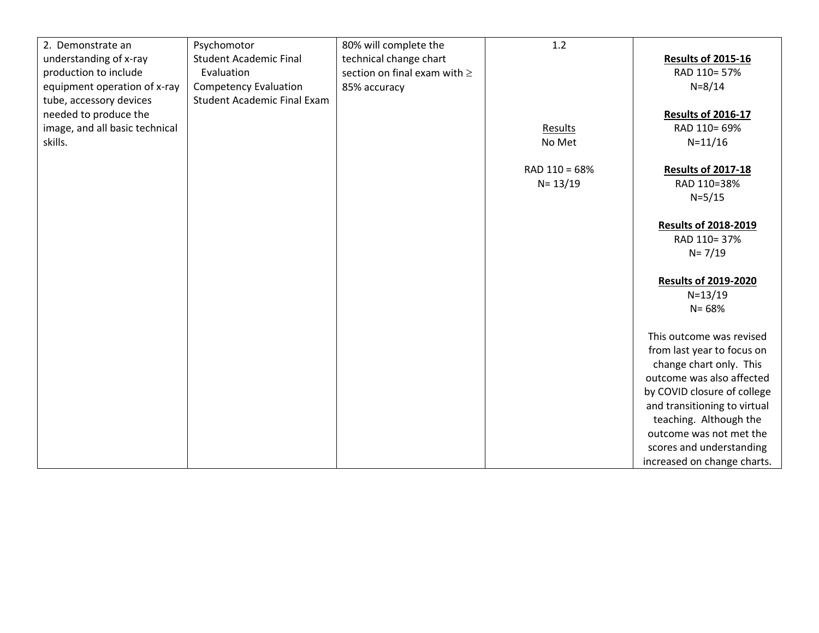| 2. Demonstrate an              | Psychomotor                        | 80% will complete the             | 1.2           |                              |
|--------------------------------|------------------------------------|-----------------------------------|---------------|------------------------------|
| understanding of x-ray         | <b>Student Academic Final</b>      | technical change chart            |               | <b>Results of 2015-16</b>    |
| production to include          | Evaluation                         | section on final exam with $\geq$ |               | RAD 110=57%                  |
| equipment operation of x-ray   | <b>Competency Evaluation</b>       | 85% accuracy                      |               | $N = 8/14$                   |
| tube, accessory devices        | <b>Student Academic Final Exam</b> |                                   |               |                              |
| needed to produce the          |                                    |                                   |               | <b>Results of 2016-17</b>    |
| image, and all basic technical |                                    |                                   | Results       | RAD 110= 69%                 |
| skills.                        |                                    |                                   | No Met        | $N = 11/16$                  |
|                                |                                    |                                   |               |                              |
|                                |                                    |                                   | RAD 110 = 68% | <b>Results of 2017-18</b>    |
|                                |                                    |                                   | $N = 13/19$   | RAD 110=38%                  |
|                                |                                    |                                   |               | $N = 5/15$                   |
|                                |                                    |                                   |               |                              |
|                                |                                    |                                   |               | <b>Results of 2018-2019</b>  |
|                                |                                    |                                   |               | RAD 110=37%                  |
|                                |                                    |                                   |               | $N = 7/19$                   |
|                                |                                    |                                   |               |                              |
|                                |                                    |                                   |               | <b>Results of 2019-2020</b>  |
|                                |                                    |                                   |               | $N = 13/19$                  |
|                                |                                    |                                   |               | $N = 68%$                    |
|                                |                                    |                                   |               |                              |
|                                |                                    |                                   |               | This outcome was revised     |
|                                |                                    |                                   |               | from last year to focus on   |
|                                |                                    |                                   |               | change chart only. This      |
|                                |                                    |                                   |               | outcome was also affected    |
|                                |                                    |                                   |               | by COVID closure of college  |
|                                |                                    |                                   |               | and transitioning to virtual |
|                                |                                    |                                   |               | teaching. Although the       |
|                                |                                    |                                   |               | outcome was not met the      |
|                                |                                    |                                   |               | scores and understanding     |
|                                |                                    |                                   |               | increased on change charts.  |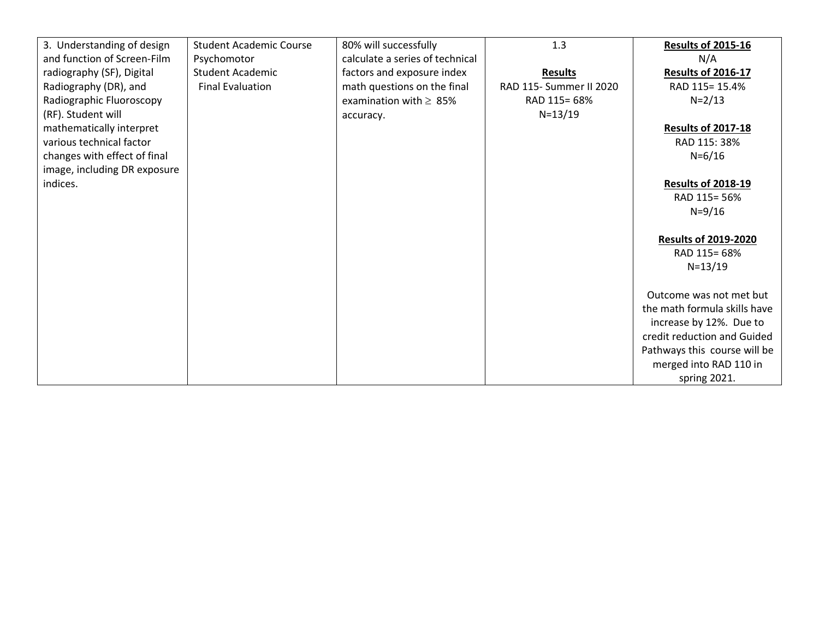| 3. Understanding of design   | <b>Student Academic Course</b> | 80% will successfully           | 1.3                     | <b>Results of 2015-16</b>    |
|------------------------------|--------------------------------|---------------------------------|-------------------------|------------------------------|
| and function of Screen-Film  | Psychomotor                    | calculate a series of technical |                         | N/A                          |
| radiography (SF), Digital    | <b>Student Academic</b>        | factors and exposure index      | <b>Results</b>          | <b>Results of 2016-17</b>    |
| Radiography (DR), and        | <b>Final Evaluation</b>        | math questions on the final     | RAD 115- Summer II 2020 | RAD 115= 15.4%               |
| Radiographic Fluoroscopy     |                                | examination with $\geq 85\%$    | RAD 115= 68%            | $N = 2/13$                   |
| (RF). Student will           |                                | accuracy.                       | $N = 13/19$             |                              |
| mathematically interpret     |                                |                                 |                         | <b>Results of 2017-18</b>    |
| various technical factor     |                                |                                 |                         | RAD 115: 38%                 |
| changes with effect of final |                                |                                 |                         | $N = 6/16$                   |
| image, including DR exposure |                                |                                 |                         |                              |
| indices.                     |                                |                                 |                         | <b>Results of 2018-19</b>    |
|                              |                                |                                 |                         | RAD 115= 56%                 |
|                              |                                |                                 |                         | $N = 9/16$                   |
|                              |                                |                                 |                         |                              |
|                              |                                |                                 |                         | <b>Results of 2019-2020</b>  |
|                              |                                |                                 |                         | RAD 115= 68%                 |
|                              |                                |                                 |                         | $N = 13/19$                  |
|                              |                                |                                 |                         |                              |
|                              |                                |                                 |                         | Outcome was not met but      |
|                              |                                |                                 |                         | the math formula skills have |
|                              |                                |                                 |                         | increase by 12%. Due to      |
|                              |                                |                                 |                         | credit reduction and Guided  |
|                              |                                |                                 |                         | Pathways this course will be |
|                              |                                |                                 |                         | merged into RAD 110 in       |
|                              |                                |                                 |                         | spring 2021.                 |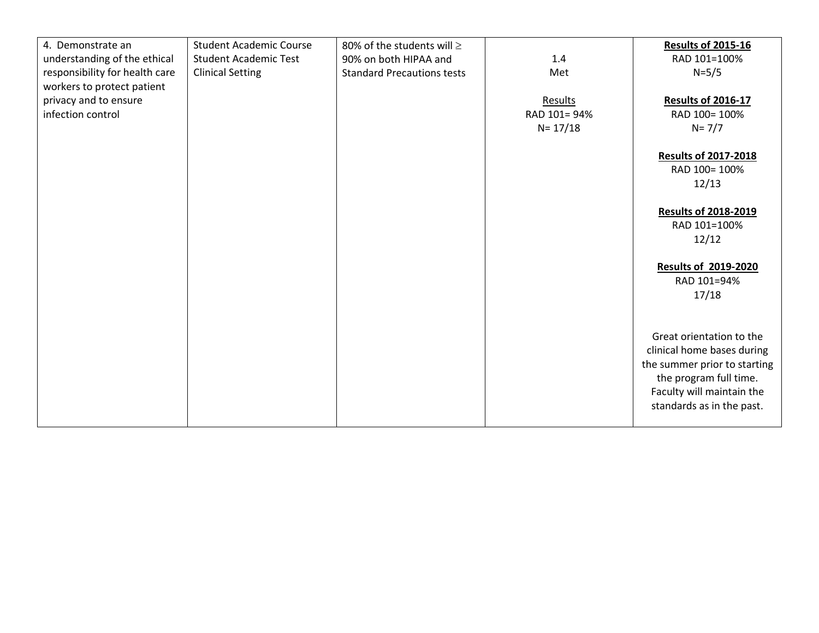| 4. Demonstrate an              | <b>Student Academic Course</b> | 80% of the students will $\geq$   |             | <b>Results of 2015-16</b>    |
|--------------------------------|--------------------------------|-----------------------------------|-------------|------------------------------|
| understanding of the ethical   | <b>Student Academic Test</b>   | 90% on both HIPAA and             | 1.4         | RAD 101=100%                 |
| responsibility for health care | <b>Clinical Setting</b>        | <b>Standard Precautions tests</b> | Met         | $N = 5/5$                    |
| workers to protect patient     |                                |                                   |             |                              |
| privacy and to ensure          |                                |                                   | Results     | <b>Results of 2016-17</b>    |
| infection control              |                                |                                   | RAD 101=94% | RAD 100= 100%                |
|                                |                                |                                   | $N = 17/18$ | $N = 7/7$                    |
|                                |                                |                                   |             |                              |
|                                |                                |                                   |             | <b>Results of 2017-2018</b>  |
|                                |                                |                                   |             | RAD 100= 100%                |
|                                |                                |                                   |             | 12/13                        |
|                                |                                |                                   |             |                              |
|                                |                                |                                   |             | <b>Results of 2018-2019</b>  |
|                                |                                |                                   |             | RAD 101=100%                 |
|                                |                                |                                   |             | 12/12                        |
|                                |                                |                                   |             |                              |
|                                |                                |                                   |             | <b>Results of 2019-2020</b>  |
|                                |                                |                                   |             | RAD 101=94%                  |
|                                |                                |                                   |             |                              |
|                                |                                |                                   |             | 17/18                        |
|                                |                                |                                   |             |                              |
|                                |                                |                                   |             |                              |
|                                |                                |                                   |             | Great orientation to the     |
|                                |                                |                                   |             | clinical home bases during   |
|                                |                                |                                   |             | the summer prior to starting |
|                                |                                |                                   |             | the program full time.       |
|                                |                                |                                   |             | Faculty will maintain the    |
|                                |                                |                                   |             | standards as in the past.    |
|                                |                                |                                   |             |                              |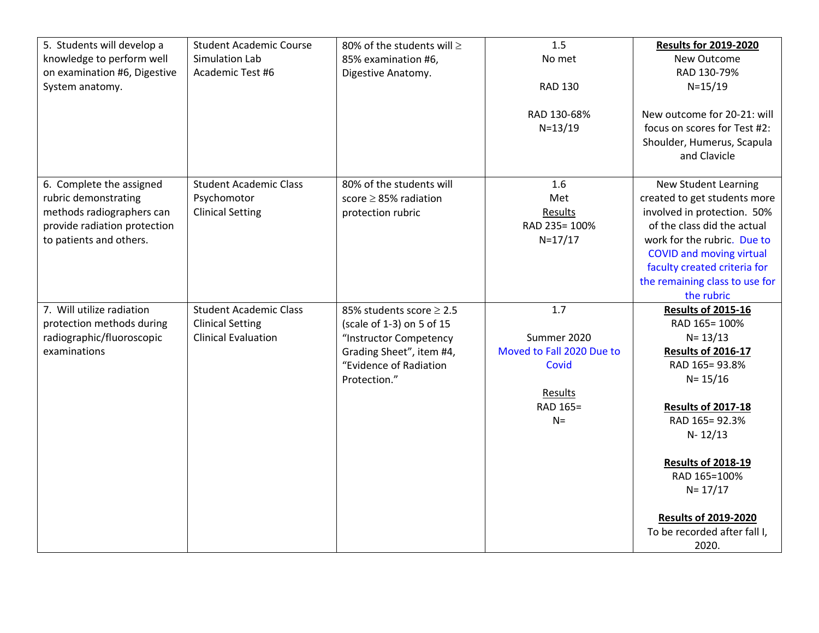| 5. Students will develop a   | <b>Student Academic Course</b> | 80% of the students will ≥    | 1.5                       | <b>Results for 2019-2020</b>    |
|------------------------------|--------------------------------|-------------------------------|---------------------------|---------------------------------|
| knowledge to perform well    | Simulation Lab                 | 85% examination #6,           | No met                    | New Outcome                     |
| on examination #6, Digestive | Academic Test #6               | Digestive Anatomy.            |                           | RAD 130-79%                     |
| System anatomy.              |                                |                               | <b>RAD 130</b>            | $N = 15/19$                     |
|                              |                                |                               | RAD 130-68%               | New outcome for 20-21: will     |
|                              |                                |                               | $N = 13/19$               | focus on scores for Test #2:    |
|                              |                                |                               |                           | Shoulder, Humerus, Scapula      |
|                              |                                |                               |                           | and Clavicle                    |
| 6. Complete the assigned     | <b>Student Academic Class</b>  | 80% of the students will      | 1.6                       | <b>New Student Learning</b>     |
| rubric demonstrating         | Psychomotor                    | score $\geq$ 85% radiation    | Met                       | created to get students more    |
| methods radiographers can    | <b>Clinical Setting</b>        | protection rubric             | Results                   | involved in protection. 50%     |
| provide radiation protection |                                |                               | RAD 235= 100%             | of the class did the actual     |
| to patients and others.      |                                |                               | $N = 17/17$               | work for the rubric. Due to     |
|                              |                                |                               |                           | <b>COVID and moving virtual</b> |
|                              |                                |                               |                           | faculty created criteria for    |
|                              |                                |                               |                           | the remaining class to use for  |
|                              |                                |                               |                           | the rubric                      |
| 7. Will utilize radiation    | <b>Student Academic Class</b>  | 85% students score $\geq$ 2.5 | 1.7                       | <b>Results of 2015-16</b>       |
| protection methods during    | <b>Clinical Setting</b>        | (scale of 1-3) on 5 of 15     |                           | RAD 165= 100%                   |
| radiographic/fluoroscopic    | <b>Clinical Evaluation</b>     | "Instructor Competency        | Summer 2020               | $N = 13/13$                     |
| examinations                 |                                | Grading Sheet", item #4,      | Moved to Fall 2020 Due to | <b>Results of 2016-17</b>       |
|                              |                                | "Evidence of Radiation        | Covid                     | RAD 165=93.8%                   |
|                              |                                | Protection."                  |                           | $N = 15/16$                     |
|                              |                                |                               | Results                   |                                 |
|                              |                                |                               | RAD 165=                  | <b>Results of 2017-18</b>       |
|                              |                                |                               | $N =$                     | RAD 165=92.3%                   |
|                              |                                |                               |                           | $N - 12/13$                     |
|                              |                                |                               |                           | <b>Results of 2018-19</b>       |
|                              |                                |                               |                           | RAD 165=100%                    |
|                              |                                |                               |                           | $N = 17/17$                     |
|                              |                                |                               |                           | <b>Results of 2019-2020</b>     |
|                              |                                |                               |                           | To be recorded after fall I,    |
|                              |                                |                               |                           | 2020.                           |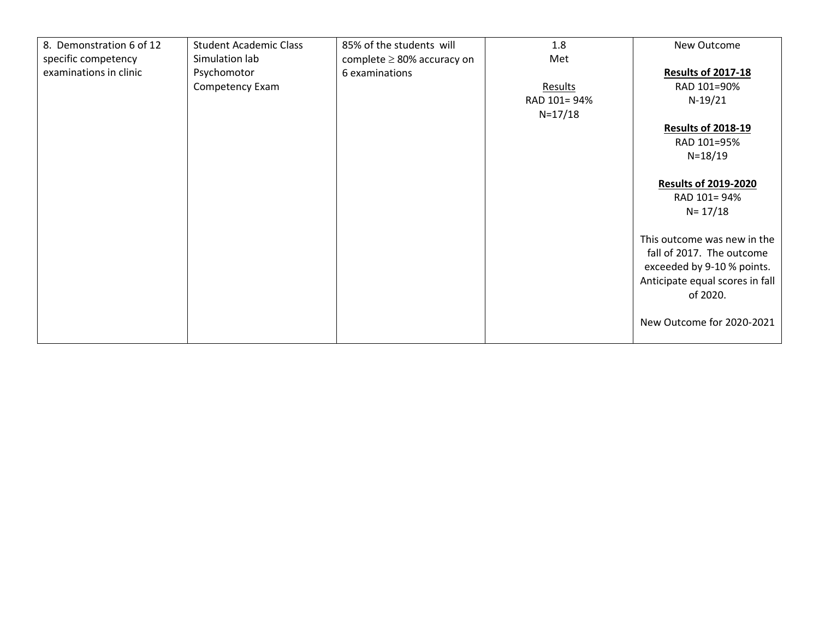| 8. Demonstration 6 of 12 | <b>Student Academic Class</b> | 85% of the students will        | 1.8         | New Outcome                     |
|--------------------------|-------------------------------|---------------------------------|-------------|---------------------------------|
| specific competency      | Simulation lab                | complete $\geq$ 80% accuracy on | Met         |                                 |
|                          |                               |                                 |             |                                 |
| examinations in clinic   | Psychomotor                   | 6 examinations                  |             | <b>Results of 2017-18</b>       |
|                          | Competency Exam               |                                 | Results     | RAD 101=90%                     |
|                          |                               |                                 | RAD 101=94% | $N-19/21$                       |
|                          |                               |                                 | $N = 17/18$ |                                 |
|                          |                               |                                 |             | <b>Results of 2018-19</b>       |
|                          |                               |                                 |             | RAD 101=95%                     |
|                          |                               |                                 |             | $N = 18/19$                     |
|                          |                               |                                 |             |                                 |
|                          |                               |                                 |             | <b>Results of 2019-2020</b>     |
|                          |                               |                                 |             |                                 |
|                          |                               |                                 |             | RAD 101=94%                     |
|                          |                               |                                 |             | $N = 17/18$                     |
|                          |                               |                                 |             |                                 |
|                          |                               |                                 |             | This outcome was new in the     |
|                          |                               |                                 |             | fall of 2017. The outcome       |
|                          |                               |                                 |             |                                 |
|                          |                               |                                 |             | exceeded by 9-10 % points.      |
|                          |                               |                                 |             | Anticipate equal scores in fall |
|                          |                               |                                 |             | of 2020.                        |
|                          |                               |                                 |             |                                 |
|                          |                               |                                 |             | New Outcome for 2020-2021       |
|                          |                               |                                 |             |                                 |
|                          |                               |                                 |             |                                 |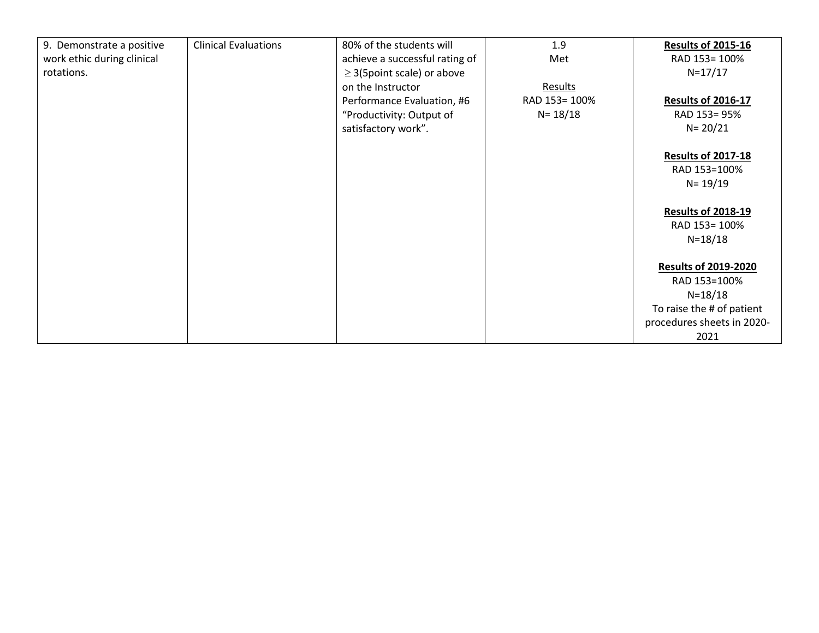| 9. Demonstrate a positive  | <b>Clinical Evaluations</b> | 80% of the students will        | 1.9            | <b>Results of 2015-16</b>   |
|----------------------------|-----------------------------|---------------------------------|----------------|-----------------------------|
| work ethic during clinical |                             | achieve a successful rating of  | Met            | RAD 153= 100%               |
| rotations.                 |                             | $\geq$ 3(5point scale) or above |                | $N = 17/17$                 |
|                            |                             | on the Instructor               | <b>Results</b> |                             |
|                            |                             | Performance Evaluation, #6      | RAD 153= 100%  | <b>Results of 2016-17</b>   |
|                            |                             | "Productivity: Output of        | $N = 18/18$    | RAD 153=95%                 |
|                            |                             | satisfactory work".             |                | $N = 20/21$                 |
|                            |                             |                                 |                |                             |
|                            |                             |                                 |                | <b>Results of 2017-18</b>   |
|                            |                             |                                 |                | RAD 153=100%                |
|                            |                             |                                 |                | $N = 19/19$                 |
|                            |                             |                                 |                |                             |
|                            |                             |                                 |                | <b>Results of 2018-19</b>   |
|                            |                             |                                 |                | RAD 153= 100%               |
|                            |                             |                                 |                | $N = 18/18$                 |
|                            |                             |                                 |                |                             |
|                            |                             |                                 |                | <b>Results of 2019-2020</b> |
|                            |                             |                                 |                | RAD 153=100%                |
|                            |                             |                                 |                | $N = 18/18$                 |
|                            |                             |                                 |                | To raise the # of patient   |
|                            |                             |                                 |                | procedures sheets in 2020-  |
|                            |                             |                                 |                | 2021                        |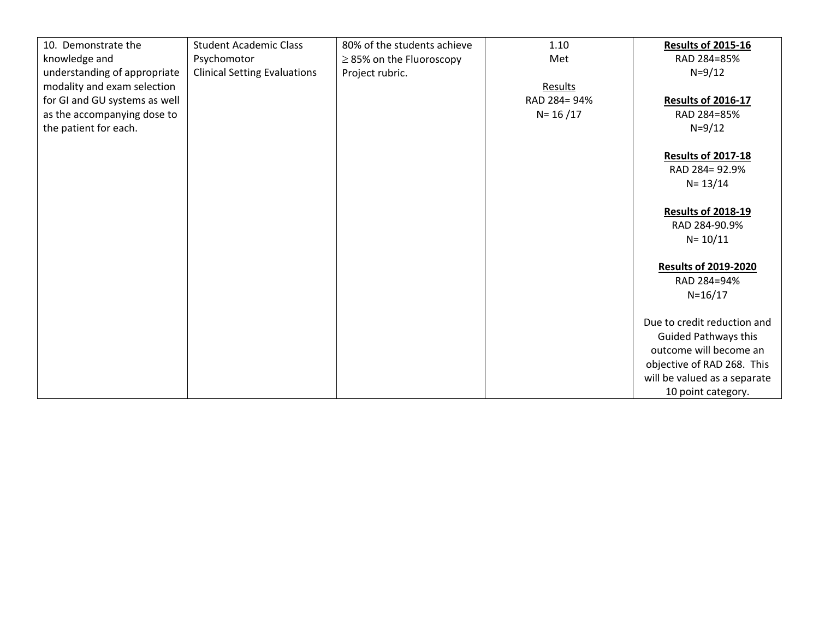| 10. Demonstrate the           | <b>Student Academic Class</b>       | 80% of the students achieve   | 1.10          | <b>Results of 2015-16</b>    |
|-------------------------------|-------------------------------------|-------------------------------|---------------|------------------------------|
| knowledge and                 | Psychomotor                         | $\geq$ 85% on the Fluoroscopy | Met           | RAD 284=85%                  |
| understanding of appropriate  | <b>Clinical Setting Evaluations</b> | Project rubric.               |               | $N = 9/12$                   |
| modality and exam selection   |                                     |                               | Results       |                              |
| for GI and GU systems as well |                                     |                               | RAD 284= 94%  | <b>Results of 2016-17</b>    |
| as the accompanying dose to   |                                     |                               | $N = 16 / 17$ | RAD 284=85%                  |
| the patient for each.         |                                     |                               |               | $N = 9/12$                   |
|                               |                                     |                               |               |                              |
|                               |                                     |                               |               | <b>Results of 2017-18</b>    |
|                               |                                     |                               |               | RAD 284= 92.9%               |
|                               |                                     |                               |               | $N = 13/14$                  |
|                               |                                     |                               |               |                              |
|                               |                                     |                               |               | <b>Results of 2018-19</b>    |
|                               |                                     |                               |               | RAD 284-90.9%                |
|                               |                                     |                               |               | $N = 10/11$                  |
|                               |                                     |                               |               |                              |
|                               |                                     |                               |               | <b>Results of 2019-2020</b>  |
|                               |                                     |                               |               | RAD 284=94%                  |
|                               |                                     |                               |               | $N = 16/17$                  |
|                               |                                     |                               |               |                              |
|                               |                                     |                               |               | Due to credit reduction and  |
|                               |                                     |                               |               | <b>Guided Pathways this</b>  |
|                               |                                     |                               |               | outcome will become an       |
|                               |                                     |                               |               | objective of RAD 268. This   |
|                               |                                     |                               |               | will be valued as a separate |
|                               |                                     |                               |               | 10 point category.           |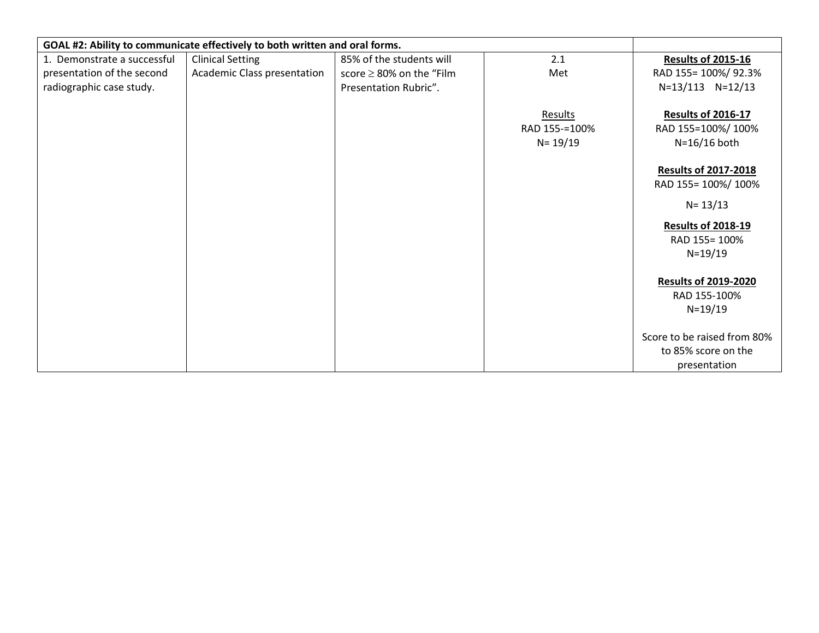| GOAL #2: Ability to communicate effectively to both written and oral forms. |                             |                               |                                         |                                                                    |
|-----------------------------------------------------------------------------|-----------------------------|-------------------------------|-----------------------------------------|--------------------------------------------------------------------|
| 1. Demonstrate a successful                                                 | <b>Clinical Setting</b>     | 85% of the students will      | 2.1                                     | <b>Results of 2015-16</b>                                          |
| presentation of the second                                                  | Academic Class presentation | score $\geq$ 80% on the "Film | Met                                     | RAD 155= 100%/ 92.3%                                               |
| radiographic case study.                                                    |                             | Presentation Rubric".         |                                         | N=13/113 N=12/13                                                   |
|                                                                             |                             |                               | Results<br>RAD 155-=100%<br>$N = 19/19$ | <b>Results of 2016-17</b><br>RAD 155=100%/100%<br>N=16/16 both     |
|                                                                             |                             |                               |                                         | <b>Results of 2017-2018</b><br>RAD 155= 100%/ 100%                 |
|                                                                             |                             |                               |                                         | $N = 13/13$                                                        |
|                                                                             |                             |                               |                                         | <b>Results of 2018-19</b><br>RAD 155= 100%<br>$N = 19/19$          |
|                                                                             |                             |                               |                                         | <b>Results of 2019-2020</b><br>RAD 155-100%<br>$N = 19/19$         |
|                                                                             |                             |                               |                                         | Score to be raised from 80%<br>to 85% score on the<br>presentation |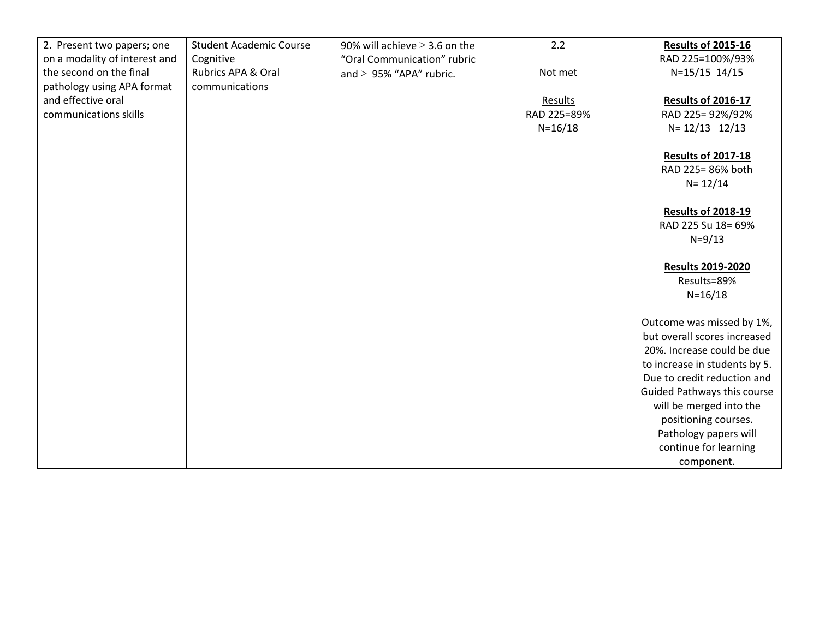| 2. Present two papers; one    | <b>Student Academic Course</b> | 90% will achieve $\geq$ 3.6 on the | 2.2         | <b>Results of 2015-16</b>     |
|-------------------------------|--------------------------------|------------------------------------|-------------|-------------------------------|
| on a modality of interest and | Cognitive                      | "Oral Communication" rubric        |             | RAD 225=100%/93%              |
| the second on the final       | Rubrics APA & Oral             | and $\geq$ 95% "APA" rubric.       | Not met     | N=15/15 14/15                 |
| pathology using APA format    | communications                 |                                    |             |                               |
| and effective oral            |                                |                                    | Results     | <b>Results of 2016-17</b>     |
| communications skills         |                                |                                    | RAD 225=89% | RAD 225=92%/92%               |
|                               |                                |                                    | $N = 16/18$ | $N = 12/13$ 12/13             |
|                               |                                |                                    |             |                               |
|                               |                                |                                    |             | <b>Results of 2017-18</b>     |
|                               |                                |                                    |             | RAD 225= 86% both             |
|                               |                                |                                    |             | $N = 12/14$                   |
|                               |                                |                                    |             |                               |
|                               |                                |                                    |             | <b>Results of 2018-19</b>     |
|                               |                                |                                    |             | RAD 225 Su 18= 69%            |
|                               |                                |                                    |             | $N = 9/13$                    |
|                               |                                |                                    |             |                               |
|                               |                                |                                    |             | <b>Results 2019-2020</b>      |
|                               |                                |                                    |             | Results=89%                   |
|                               |                                |                                    |             | $N = 16/18$                   |
|                               |                                |                                    |             |                               |
|                               |                                |                                    |             | Outcome was missed by 1%,     |
|                               |                                |                                    |             | but overall scores increased  |
|                               |                                |                                    |             | 20%. Increase could be due    |
|                               |                                |                                    |             | to increase in students by 5. |
|                               |                                |                                    |             | Due to credit reduction and   |
|                               |                                |                                    |             | Guided Pathways this course   |
|                               |                                |                                    |             | will be merged into the       |
|                               |                                |                                    |             | positioning courses.          |
|                               |                                |                                    |             | Pathology papers will         |
|                               |                                |                                    |             | continue for learning         |
|                               |                                |                                    |             | component.                    |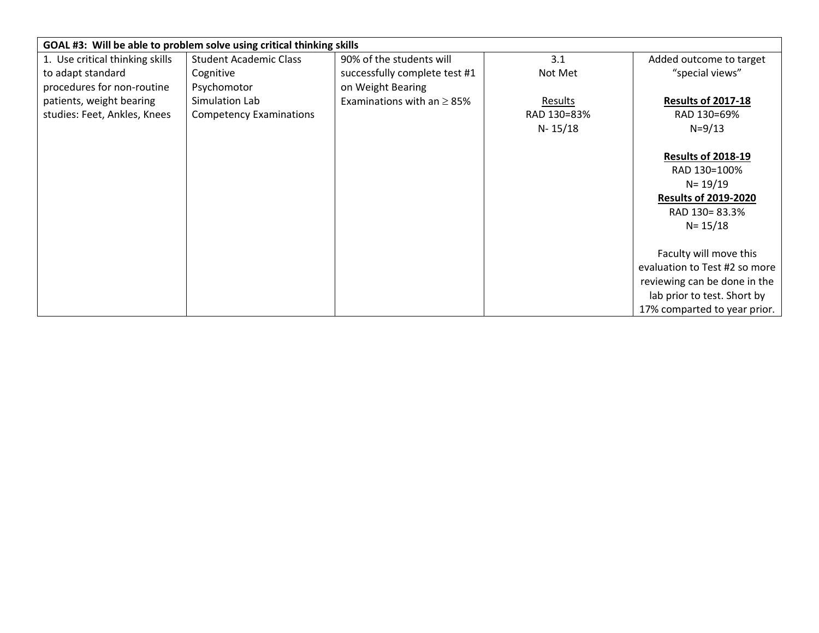|                                 | GOAL #3: Will be able to problem solve using critical thinking skills |                                 |             |                               |
|---------------------------------|-----------------------------------------------------------------------|---------------------------------|-------------|-------------------------------|
| 1. Use critical thinking skills | <b>Student Academic Class</b>                                         | 90% of the students will        | 3.1         | Added outcome to target       |
| to adapt standard               | Cognitive                                                             | successfully complete test #1   | Not Met     | "special views"               |
| procedures for non-routine      | Psychomotor                                                           | on Weight Bearing               |             |                               |
| patients, weight bearing        | Simulation Lab                                                        | Examinations with an $\geq$ 85% | Results     | <b>Results of 2017-18</b>     |
| studies: Feet, Ankles, Knees    | <b>Competency Examinations</b>                                        |                                 | RAD 130=83% | RAD 130=69%                   |
|                                 |                                                                       |                                 | $N - 15/18$ | $N = 9/13$                    |
|                                 |                                                                       |                                 |             |                               |
|                                 |                                                                       |                                 |             | <b>Results of 2018-19</b>     |
|                                 |                                                                       |                                 |             | RAD 130=100%                  |
|                                 |                                                                       |                                 |             | $N = 19/19$                   |
|                                 |                                                                       |                                 |             | <b>Results of 2019-2020</b>   |
|                                 |                                                                       |                                 |             | RAD 130=83.3%                 |
|                                 |                                                                       |                                 |             | $N = 15/18$                   |
|                                 |                                                                       |                                 |             |                               |
|                                 |                                                                       |                                 |             | Faculty will move this        |
|                                 |                                                                       |                                 |             | evaluation to Test #2 so more |
|                                 |                                                                       |                                 |             | reviewing can be done in the  |
|                                 |                                                                       |                                 |             | lab prior to test. Short by   |
|                                 |                                                                       |                                 |             | 17% comparted to year prior.  |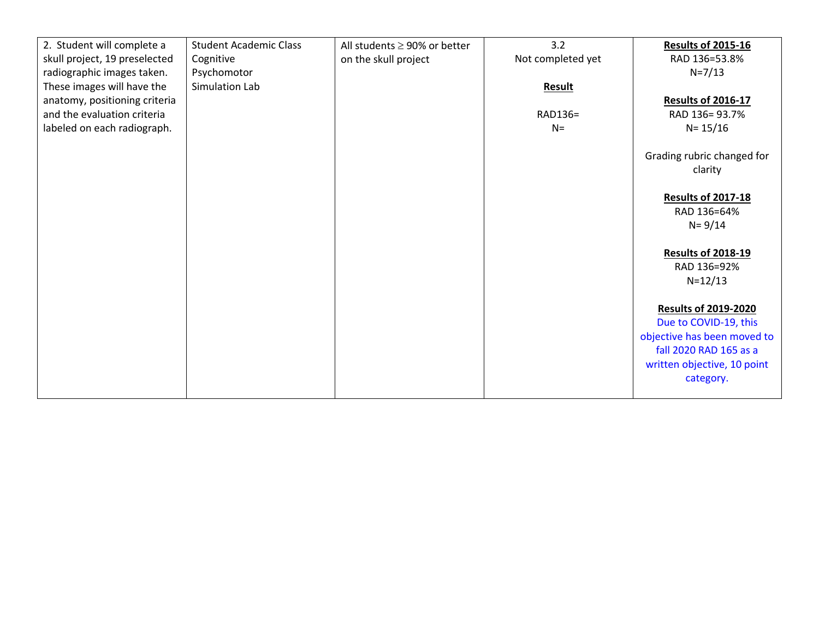| 2. Student will complete a    | <b>Student Academic Class</b> | All students $\geq$ 90% or better | 3.2               | <b>Results of 2015-16</b>                                                                                                                                 |
|-------------------------------|-------------------------------|-----------------------------------|-------------------|-----------------------------------------------------------------------------------------------------------------------------------------------------------|
| skull project, 19 preselected | Cognitive                     | on the skull project              | Not completed yet | RAD 136=53.8%                                                                                                                                             |
| radiographic images taken.    | Psychomotor                   |                                   |                   | $N = 7/13$                                                                                                                                                |
| These images will have the    | Simulation Lab                |                                   | Result            |                                                                                                                                                           |
| anatomy, positioning criteria |                               |                                   |                   | <b>Results of 2016-17</b>                                                                                                                                 |
| and the evaluation criteria   |                               |                                   | RAD136=           | RAD 136=93.7%                                                                                                                                             |
| labeled on each radiograph.   |                               |                                   | $N =$             | $N = 15/16$                                                                                                                                               |
|                               |                               |                                   |                   | Grading rubric changed for<br>clarity                                                                                                                     |
|                               |                               |                                   |                   | <b>Results of 2017-18</b><br>RAD 136=64%                                                                                                                  |
|                               |                               |                                   |                   | $N = 9/14$                                                                                                                                                |
|                               |                               |                                   |                   |                                                                                                                                                           |
|                               |                               |                                   |                   | <b>Results of 2018-19</b>                                                                                                                                 |
|                               |                               |                                   |                   | RAD 136=92%                                                                                                                                               |
|                               |                               |                                   |                   | $N = 12/13$                                                                                                                                               |
|                               |                               |                                   |                   | <b>Results of 2019-2020</b><br>Due to COVID-19, this<br>objective has been moved to<br>fall 2020 RAD 165 as a<br>written objective, 10 point<br>category. |
|                               |                               |                                   |                   |                                                                                                                                                           |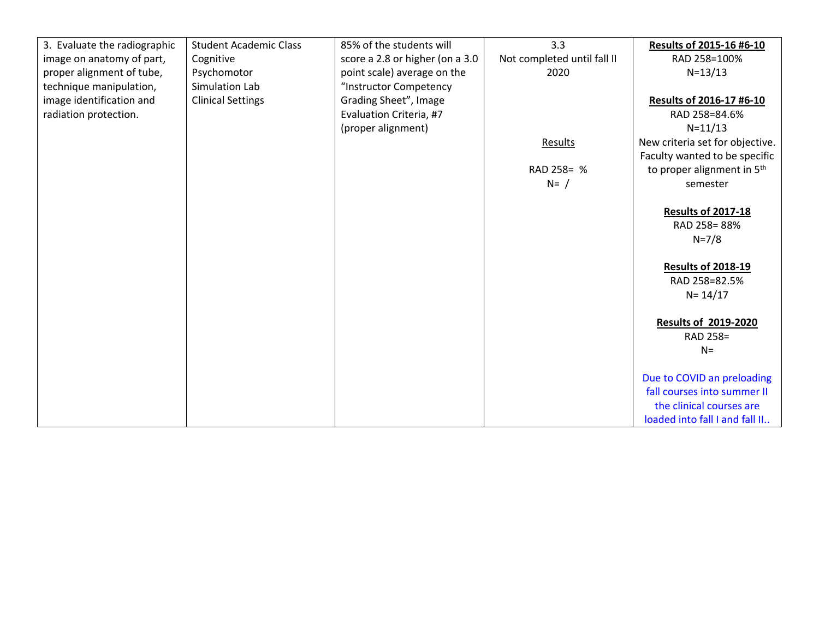| 3. Evaluate the radiographic | <b>Student Academic Class</b> | 85% of the students will        | 3.3                         | Results of 2015-16 #6-10               |
|------------------------------|-------------------------------|---------------------------------|-----------------------------|----------------------------------------|
| image on anatomy of part,    | Cognitive                     | score a 2.8 or higher (on a 3.0 | Not completed until fall II | RAD 258=100%                           |
| proper alignment of tube,    | Psychomotor                   | point scale) average on the     | 2020                        | $N = 13/13$                            |
| technique manipulation,      | Simulation Lab                | "Instructor Competency          |                             |                                        |
| image identification and     | <b>Clinical Settings</b>      | Grading Sheet", Image           |                             | Results of 2016-17 #6-10               |
| radiation protection.        |                               | Evaluation Criteria, #7         |                             | RAD 258=84.6%                          |
|                              |                               | (proper alignment)              |                             | $N = 11/13$                            |
|                              |                               |                                 | Results                     | New criteria set for objective.        |
|                              |                               |                                 |                             | Faculty wanted to be specific          |
|                              |                               |                                 | RAD 258= %                  | to proper alignment in 5 <sup>th</sup> |
|                              |                               |                                 | $N = /$                     | semester                               |
|                              |                               |                                 |                             |                                        |
|                              |                               |                                 |                             | <b>Results of 2017-18</b>              |
|                              |                               |                                 |                             | RAD 258=88%                            |
|                              |                               |                                 |                             | $N = 7/8$                              |
|                              |                               |                                 |                             |                                        |
|                              |                               |                                 |                             | <b>Results of 2018-19</b>              |
|                              |                               |                                 |                             | RAD 258=82.5%                          |
|                              |                               |                                 |                             | $N = 14/17$                            |
|                              |                               |                                 |                             |                                        |
|                              |                               |                                 |                             | <b>Results of 2019-2020</b>            |
|                              |                               |                                 |                             | RAD 258=                               |
|                              |                               |                                 |                             | $N =$                                  |
|                              |                               |                                 |                             |                                        |
|                              |                               |                                 |                             | Due to COVID an preloading             |
|                              |                               |                                 |                             | fall courses into summer II            |
|                              |                               |                                 |                             | the clinical courses are               |
|                              |                               |                                 |                             | loaded into fall I and fall II         |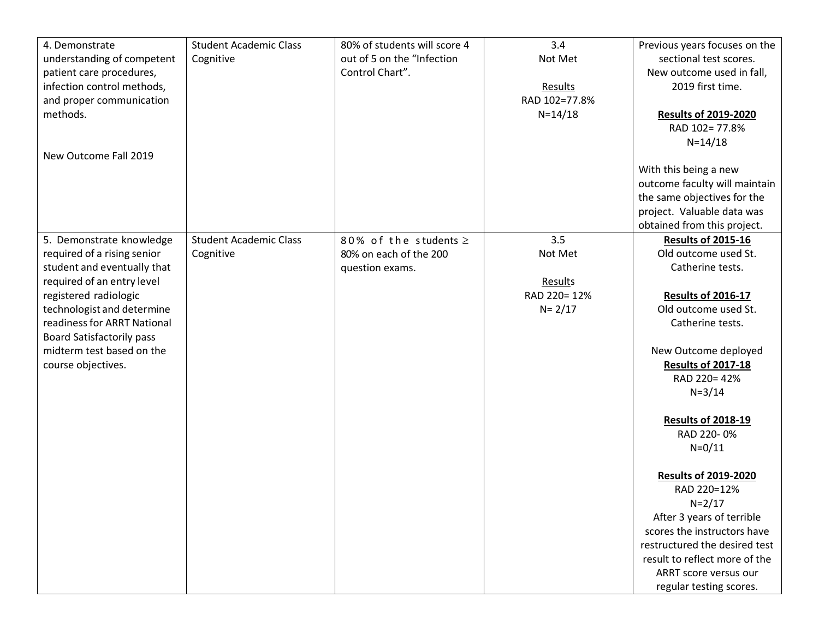| 4. Demonstrate                   | <b>Student Academic Class</b> | 80% of students will score 4 | 3.4           | Previous years focuses on the                                |
|----------------------------------|-------------------------------|------------------------------|---------------|--------------------------------------------------------------|
| understanding of competent       | Cognitive                     | out of 5 on the "Infection   | Not Met       | sectional test scores.                                       |
| patient care procedures,         |                               | Control Chart".              |               | New outcome used in fall,                                    |
| infection control methods,       |                               |                              | Results       | 2019 first time.                                             |
| and proper communication         |                               |                              | RAD 102=77.8% |                                                              |
| methods.                         |                               |                              | $N = 14/18$   | <b>Results of 2019-2020</b>                                  |
|                                  |                               |                              |               | RAD 102=77.8%                                                |
|                                  |                               |                              |               | $N = 14/18$                                                  |
| New Outcome Fall 2019            |                               |                              |               |                                                              |
|                                  |                               |                              |               | With this being a new                                        |
|                                  |                               |                              |               | outcome faculty will maintain                                |
|                                  |                               |                              |               | the same objectives for the                                  |
|                                  |                               |                              |               | project. Valuable data was                                   |
|                                  |                               |                              |               | obtained from this project.                                  |
| 5. Demonstrate knowledge         | <b>Student Academic Class</b> | 80% of the students $\ge$    | 3.5           | <b>Results of 2015-16</b>                                    |
| required of a rising senior      | Cognitive                     | 80% on each of the 200       | Not Met       | Old outcome used St.                                         |
| student and eventually that      |                               | question exams.              |               | Catherine tests.                                             |
| required of an entry level       |                               |                              | Results       |                                                              |
| registered radiologic            |                               |                              | RAD 220=12%   | <b>Results of 2016-17</b>                                    |
| technologist and determine       |                               |                              | $N = 2/17$    | Old outcome used St.                                         |
| readiness for ARRT National      |                               |                              |               | Catherine tests.                                             |
| <b>Board Satisfactorily pass</b> |                               |                              |               |                                                              |
| midterm test based on the        |                               |                              |               | New Outcome deployed                                         |
| course objectives.               |                               |                              |               | <b>Results of 2017-18</b>                                    |
|                                  |                               |                              |               | RAD 220=42%                                                  |
|                                  |                               |                              |               | $N = 3/14$                                                   |
|                                  |                               |                              |               |                                                              |
|                                  |                               |                              |               | <b>Results of 2018-19</b>                                    |
|                                  |                               |                              |               | RAD 220-0%                                                   |
|                                  |                               |                              |               | $N = 0/11$                                                   |
|                                  |                               |                              |               |                                                              |
|                                  |                               |                              |               | <b>Results of 2019-2020</b>                                  |
|                                  |                               |                              |               | RAD 220=12%                                                  |
|                                  |                               |                              |               | $N = 2/17$                                                   |
|                                  |                               |                              |               | After 3 years of terrible                                    |
|                                  |                               |                              |               | scores the instructors have<br>restructured the desired test |
|                                  |                               |                              |               | result to reflect more of the                                |
|                                  |                               |                              |               | ARRT score versus our                                        |
|                                  |                               |                              |               |                                                              |
|                                  |                               |                              |               | regular testing scores.                                      |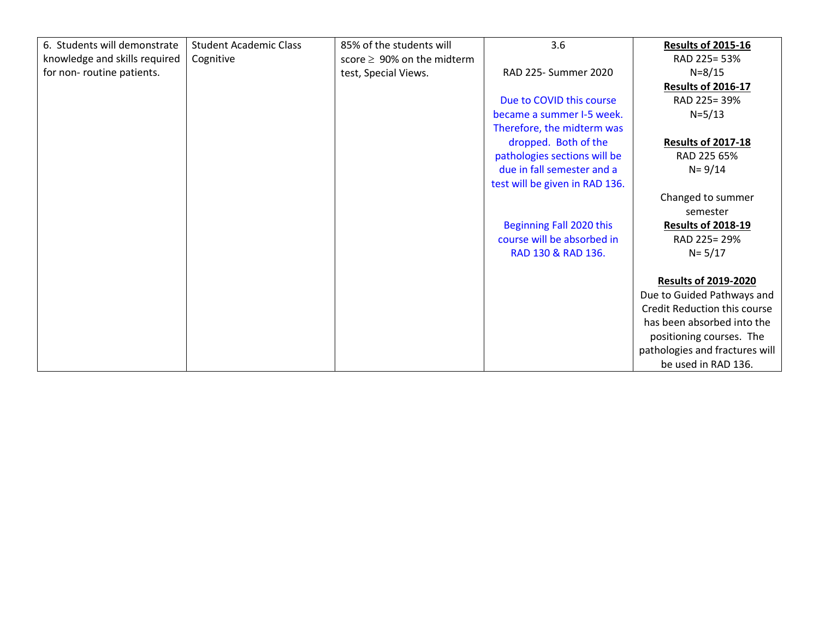| 6. Students will demonstrate  | <b>Student Academic Class</b> | 85% of the students will         | 3.6                            | <b>Results of 2015-16</b>      |
|-------------------------------|-------------------------------|----------------------------------|--------------------------------|--------------------------------|
| knowledge and skills required | Cognitive                     | score $\geq 90\%$ on the midterm |                                | RAD 225= 53%                   |
| for non-routine patients.     |                               | test, Special Views.             | RAD 225- Summer 2020           | $N = 8/15$                     |
|                               |                               |                                  |                                | <b>Results of 2016-17</b>      |
|                               |                               |                                  | Due to COVID this course       | RAD 225=39%                    |
|                               |                               |                                  | became a summer I-5 week.      | $N = 5/13$                     |
|                               |                               |                                  | Therefore, the midterm was     |                                |
|                               |                               |                                  | dropped. Both of the           | <b>Results of 2017-18</b>      |
|                               |                               |                                  | pathologies sections will be   | RAD 225 65%                    |
|                               |                               |                                  | due in fall semester and a     | $N = 9/14$                     |
|                               |                               |                                  | test will be given in RAD 136. |                                |
|                               |                               |                                  |                                | Changed to summer              |
|                               |                               |                                  |                                | semester                       |
|                               |                               |                                  | Beginning Fall 2020 this       | <b>Results of 2018-19</b>      |
|                               |                               |                                  | course will be absorbed in     | RAD 225= 29%                   |
|                               |                               |                                  | RAD 130 & RAD 136.             | $N = 5/17$                     |
|                               |                               |                                  |                                |                                |
|                               |                               |                                  |                                | <b>Results of 2019-2020</b>    |
|                               |                               |                                  |                                | Due to Guided Pathways and     |
|                               |                               |                                  |                                | Credit Reduction this course   |
|                               |                               |                                  |                                | has been absorbed into the     |
|                               |                               |                                  |                                | positioning courses. The       |
|                               |                               |                                  |                                | pathologies and fractures will |
|                               |                               |                                  |                                | be used in RAD 136.            |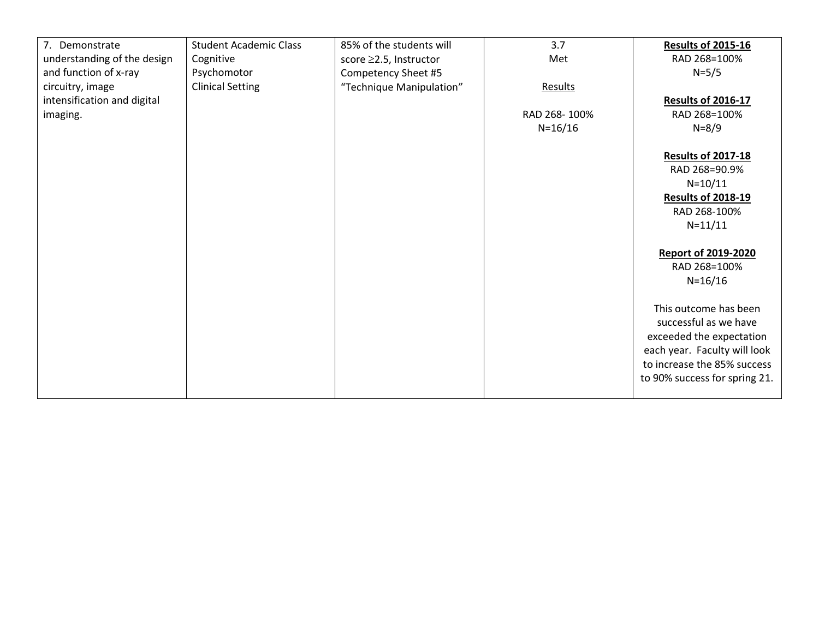| 7. Demonstrate              | <b>Student Academic Class</b> | 85% of the students will | 3.7          | <b>Results of 2015-16</b>     |
|-----------------------------|-------------------------------|--------------------------|--------------|-------------------------------|
| understanding of the design | Cognitive                     | score ≥2.5, Instructor   | Met          | RAD 268=100%                  |
| and function of x-ray       | Psychomotor                   | Competency Sheet #5      |              | $N = 5/5$                     |
| circuitry, image            | <b>Clinical Setting</b>       | "Technique Manipulation" | Results      |                               |
| intensification and digital |                               |                          |              | <b>Results of 2016-17</b>     |
| imaging.                    |                               |                          | RAD 268-100% | RAD 268=100%                  |
|                             |                               |                          | $N = 16/16$  | $N = 8/9$                     |
|                             |                               |                          |              |                               |
|                             |                               |                          |              | <b>Results of 2017-18</b>     |
|                             |                               |                          |              | RAD 268=90.9%                 |
|                             |                               |                          |              | $N = 10/11$                   |
|                             |                               |                          |              |                               |
|                             |                               |                          |              | <b>Results of 2018-19</b>     |
|                             |                               |                          |              | RAD 268-100%                  |
|                             |                               |                          |              | $N = 11/11$                   |
|                             |                               |                          |              |                               |
|                             |                               |                          |              | <b>Report of 2019-2020</b>    |
|                             |                               |                          |              | RAD 268=100%                  |
|                             |                               |                          |              | $N = 16/16$                   |
|                             |                               |                          |              |                               |
|                             |                               |                          |              | This outcome has been         |
|                             |                               |                          |              | successful as we have         |
|                             |                               |                          |              | exceeded the expectation      |
|                             |                               |                          |              | each year. Faculty will look  |
|                             |                               |                          |              | to increase the 85% success   |
|                             |                               |                          |              | to 90% success for spring 21. |
|                             |                               |                          |              |                               |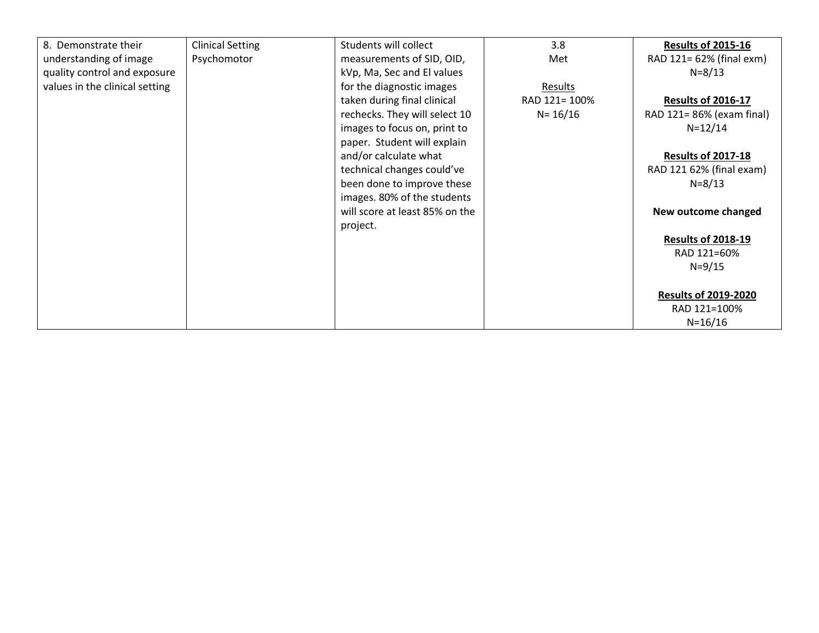| 8. Demonstrate their           | <b>Clinical Setting</b> | Students will collect          | 3.8           | <b>Results of 2015-16</b>   |
|--------------------------------|-------------------------|--------------------------------|---------------|-----------------------------|
| understanding of image         | Psychomotor             | measurements of SID, OID,      | Met           | RAD 121= 62% (final exm)    |
| quality control and exposure   |                         | kVp, Ma, Sec and El values     |               | $N = 8/13$                  |
| values in the clinical setting |                         | for the diagnostic images      | Results       |                             |
|                                |                         | taken during final clinical    | RAD 121= 100% | <b>Results of 2016-17</b>   |
|                                |                         | rechecks. They will select 10  | $N = 16/16$   | RAD 121= 86% (exam final)   |
|                                |                         | images to focus on, print to   |               | $N = 12/14$                 |
|                                |                         | paper. Student will explain    |               |                             |
|                                |                         | and/or calculate what          |               | <b>Results of 2017-18</b>   |
|                                |                         | technical changes could've     |               | RAD 121 62% (final exam)    |
|                                |                         | been done to improve these     |               | $N = 8/13$                  |
|                                |                         | images. 80% of the students    |               |                             |
|                                |                         | will score at least 85% on the |               | New outcome changed         |
|                                |                         | project.                       |               |                             |
|                                |                         |                                |               | <b>Results of 2018-19</b>   |
|                                |                         |                                |               | RAD 121=60%                 |
|                                |                         |                                |               | $N = 9/15$                  |
|                                |                         |                                |               |                             |
|                                |                         |                                |               | <b>Results of 2019-2020</b> |
|                                |                         |                                |               | RAD 121=100%                |
|                                |                         |                                |               | $N = 16/16$                 |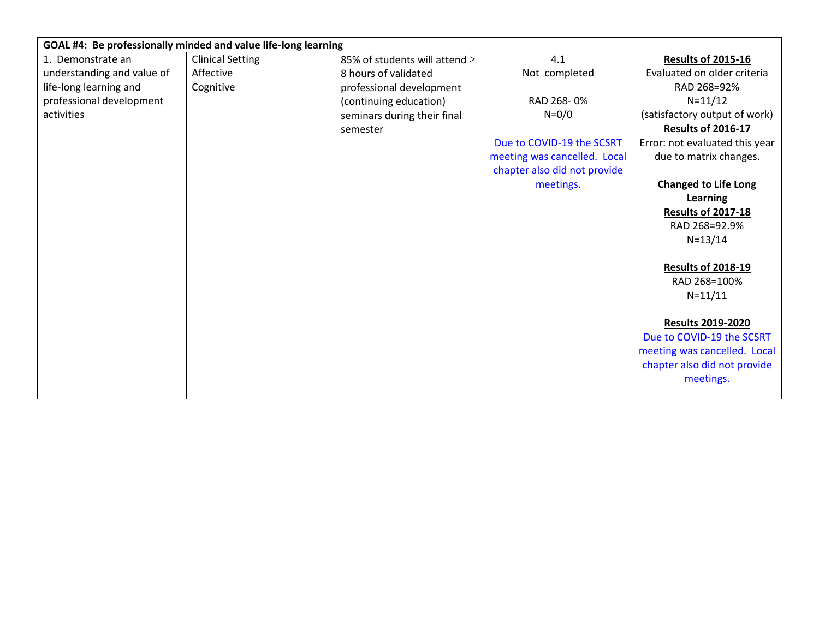|                            | GOAL #4: Be professionally minded and value life-long learning |                                    |                              |                                |  |  |  |
|----------------------------|----------------------------------------------------------------|------------------------------------|------------------------------|--------------------------------|--|--|--|
| 1. Demonstrate an          | <b>Clinical Setting</b>                                        | 85% of students will attend $\geq$ | 4.1                          | <b>Results of 2015-16</b>      |  |  |  |
| understanding and value of | Affective                                                      | 8 hours of validated               | Not completed                | Evaluated on older criteria    |  |  |  |
| life-long learning and     | Cognitive                                                      | professional development           |                              | RAD 268=92%                    |  |  |  |
| professional development   |                                                                | (continuing education)             | RAD 268-0%                   | $N = 11/12$                    |  |  |  |
| activities                 |                                                                | seminars during their final        | $N = 0/0$                    | (satisfactory output of work)  |  |  |  |
|                            |                                                                | semester                           |                              | <b>Results of 2016-17</b>      |  |  |  |
|                            |                                                                |                                    | Due to COVID-19 the SCSRT    | Error: not evaluated this year |  |  |  |
|                            |                                                                |                                    | meeting was cancelled. Local | due to matrix changes.         |  |  |  |
|                            |                                                                |                                    | chapter also did not provide |                                |  |  |  |
|                            |                                                                |                                    | meetings.                    | <b>Changed to Life Long</b>    |  |  |  |
|                            |                                                                |                                    |                              | <b>Learning</b>                |  |  |  |
|                            |                                                                |                                    |                              | <b>Results of 2017-18</b>      |  |  |  |
|                            |                                                                |                                    |                              | RAD 268=92.9%                  |  |  |  |
|                            |                                                                |                                    |                              | $N = 13/14$                    |  |  |  |
|                            |                                                                |                                    |                              |                                |  |  |  |
|                            |                                                                |                                    |                              | <b>Results of 2018-19</b>      |  |  |  |
|                            |                                                                |                                    |                              | RAD 268=100%                   |  |  |  |
|                            |                                                                |                                    |                              | $N = 11/11$                    |  |  |  |
|                            |                                                                |                                    |                              |                                |  |  |  |
|                            |                                                                |                                    |                              | <b>Results 2019-2020</b>       |  |  |  |
|                            |                                                                |                                    |                              | Due to COVID-19 the SCSRT      |  |  |  |
|                            |                                                                |                                    |                              | meeting was cancelled. Local   |  |  |  |
|                            |                                                                |                                    |                              | chapter also did not provide   |  |  |  |
|                            |                                                                |                                    |                              | meetings.                      |  |  |  |
|                            |                                                                |                                    |                              |                                |  |  |  |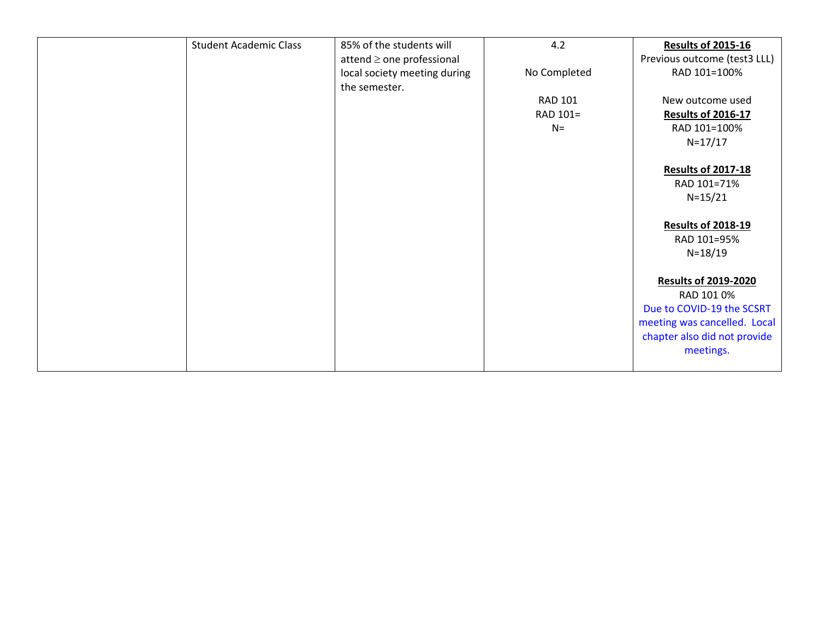| <b>Student Academic Class</b> | 85% of the students will       | 4.2            | <b>Results of 2015-16</b>    |
|-------------------------------|--------------------------------|----------------|------------------------------|
|                               | attend $\geq$ one professional |                | Previous outcome (test3 LLL) |
|                               | local society meeting during   | No Completed   | RAD 101=100%                 |
|                               | the semester.                  |                |                              |
|                               |                                | <b>RAD 101</b> | New outcome used             |
|                               |                                | RAD 101=       | <b>Results of 2016-17</b>    |
|                               |                                | $N=$           | RAD 101=100%                 |
|                               |                                |                | $N = 17/17$                  |
|                               |                                |                |                              |
|                               |                                |                | <b>Results of 2017-18</b>    |
|                               |                                |                | RAD 101=71%                  |
|                               |                                |                | $N = 15/21$                  |
|                               |                                |                |                              |
|                               |                                |                | <b>Results of 2018-19</b>    |
|                               |                                |                | RAD 101=95%                  |
|                               |                                |                | $N = 18/19$                  |
|                               |                                |                |                              |
|                               |                                |                | <b>Results of 2019-2020</b>  |
|                               |                                |                | RAD 101 0%                   |
|                               |                                |                | Due to COVID-19 the SCSRT    |
|                               |                                |                | meeting was cancelled. Local |
|                               |                                |                | chapter also did not provide |
|                               |                                |                | meetings.                    |
|                               |                                |                |                              |